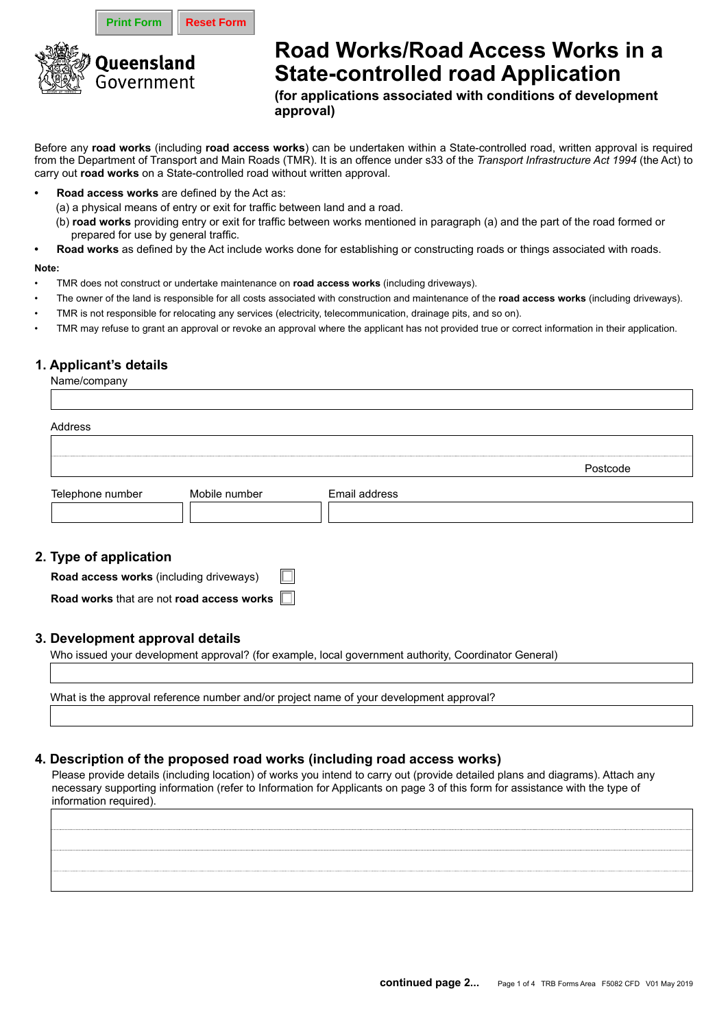**Print Form | Reset Form** 



# **Road Works/Road Access Works in a State-controlled road Application**

**(for applications associated with conditions of development approval)**

Before any **road works** (including **road access works**) can be undertaken within a State-controlled road, written approval is required from the Department of Transport and Main Roads (TMR). It is an offence under s33 of the *Transport Infrastructure Act 1994* (the Act) to carry out **road works** on a State-controlled road without written approval.

- **• Road access works** are defined by the Act as:
	- (a) a physical means of entry or exit for traffic between land and a road.
	- (b) **road works** providing entry or exit for traffic between works mentioned in paragraph (a) and the part of the road formed or prepared for use by general traffic.
- **• Road works** as defined by the Act include works done for establishing or constructing roads or things associated with roads.

#### **Note:**

- TMR does not construct or undertake maintenance on **road access works** (including driveways).
- The owner of the land is responsible for all costs associated with construction and maintenance of the **road access works** (including driveways).
- TMR is not responsible for relocating any services (electricity, telecommunication, drainage pits, and so on).
- TMR may refuse to grant an approval or revoke an approval where the applicant has not provided true or correct information in their application.

## **1. Applicant's details**

Name/company

| Address          |               |               |          |
|------------------|---------------|---------------|----------|
|                  |               |               |          |
|                  |               |               | Postcode |
| Telephone number | Mobile number | Email address |          |

## **2. Type of application**

| Road access works (including driveways)          | $\Box$ |
|--------------------------------------------------|--------|
| Road works that are not road access works $\Box$ |        |

## **3. Development approval details**

Who issued your development approval? (for example, local government authority, Coordinator General)

What is the approval reference number and/or project name of your development approval?

# **4. Description of the proposed road works (including road access works)**

Please provide details (including location) of works you intend to carry out (provide detailed plans and diagrams). Attach any necessary supporting information (refer to Information for Applicants on page 3 of this form for assistance with the type of information required).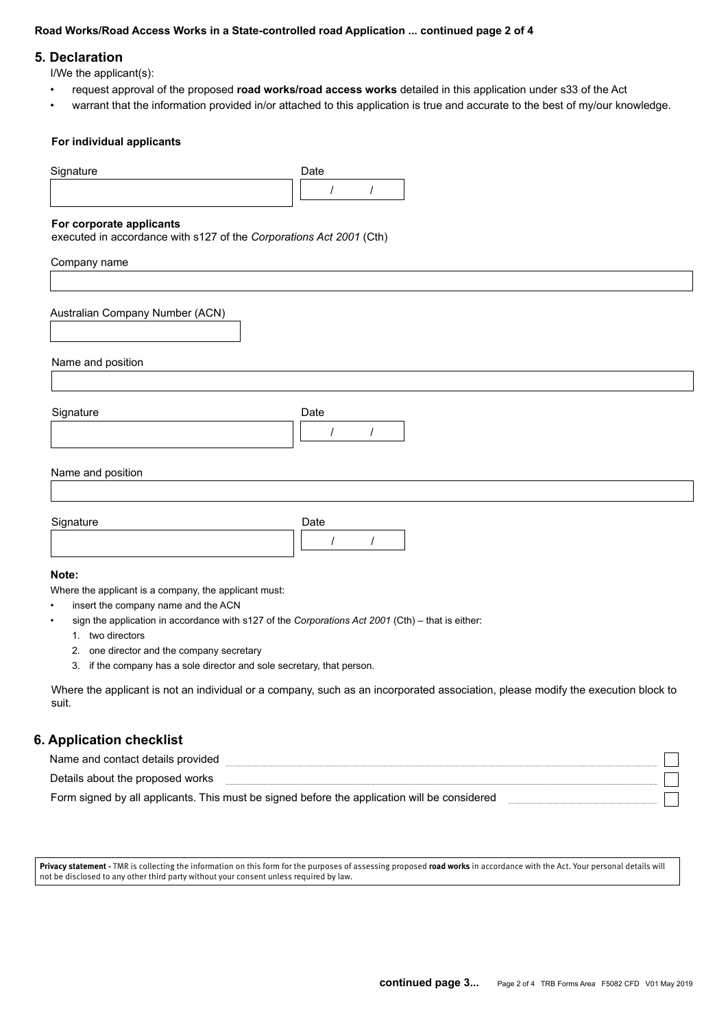#### **Road Works/Road Access Works in a State-controlled road Application ... continued page 2 of 4**

#### **5. Declaration**

I/We the applicant(s):

- request approval of the proposed **road works/road access works** detailed in this application under s33 of the Act
- warrant that the information provided in/or attached to this application is true and accurate to the best of my/our knowledge.

#### **For individual applicants**

| Signature                                                                                                                                                                                                                                                                                                                                                                 | Date                         |
|---------------------------------------------------------------------------------------------------------------------------------------------------------------------------------------------------------------------------------------------------------------------------------------------------------------------------------------------------------------------------|------------------------------|
|                                                                                                                                                                                                                                                                                                                                                                           | $\prime$<br>$\prime$         |
| For corporate applicants<br>executed in accordance with s127 of the Corporations Act 2001 (Cth)                                                                                                                                                                                                                                                                           |                              |
| Company name                                                                                                                                                                                                                                                                                                                                                              |                              |
| Australian Company Number (ACN)                                                                                                                                                                                                                                                                                                                                           |                              |
| Name and position                                                                                                                                                                                                                                                                                                                                                         |                              |
|                                                                                                                                                                                                                                                                                                                                                                           |                              |
| Signature                                                                                                                                                                                                                                                                                                                                                                 | Date<br>$\prime$<br>$\prime$ |
| Name and position                                                                                                                                                                                                                                                                                                                                                         |                              |
|                                                                                                                                                                                                                                                                                                                                                                           |                              |
| Signature                                                                                                                                                                                                                                                                                                                                                                 | Date                         |
|                                                                                                                                                                                                                                                                                                                                                                           | $\prime$<br>$\prime$         |
| Note:                                                                                                                                                                                                                                                                                                                                                                     |                              |
| Where the applicant is a company, the applicant must:<br>insert the company name and the ACN<br>$\bullet$<br>sign the application in accordance with s127 of the Corporations Act 2001 (Cth) - that is either:<br>$\bullet$<br>1. two directors<br>one director and the company secretary<br>2.<br>3. if the company has a sole director and sole secretary, that person. |                              |

Where the applicant is not an individual or a company, such as an incorporated association, please modify the execution block to suit.

## **6. Application checklist**

| Name and contact details provided                                                            |  |
|----------------------------------------------------------------------------------------------|--|
| Details about the proposed works                                                             |  |
| Form signed by all applicants. This must be signed before the application will be considered |  |

**Privacy statement -** TMR is collecting the information on this form for the purposes of assessing proposed **road works** in accordance with the Act. Your personal details will not be disclosed to any other third party without your consent unless required by law.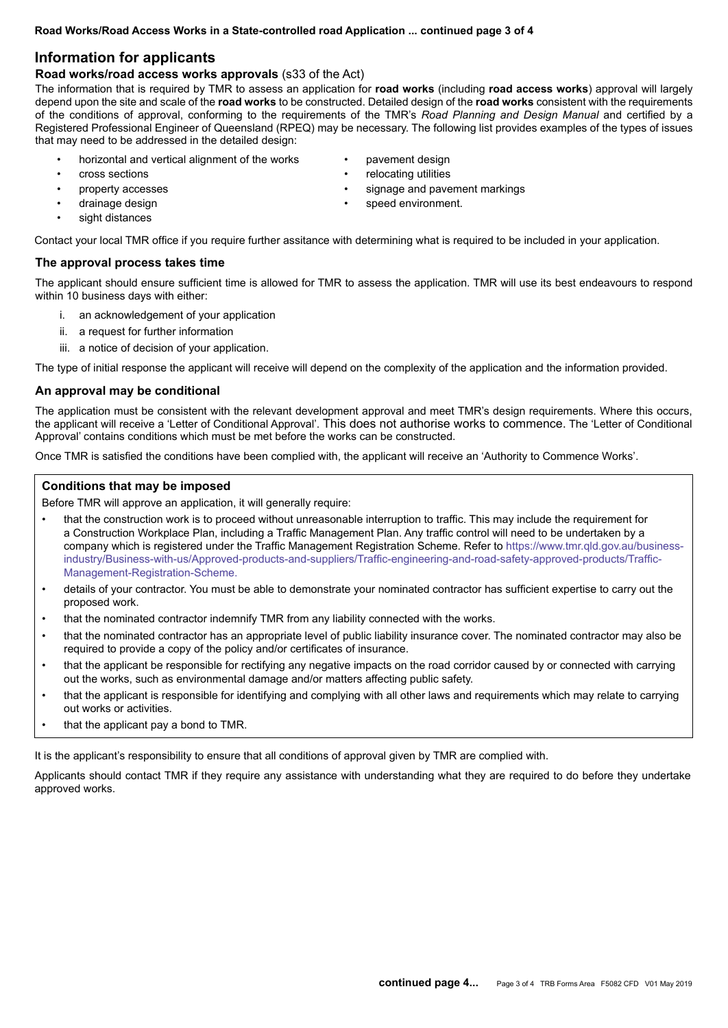## **Information for applicants**

#### **Road works/road access works approvals** (s33 of the Act)

The information that is required by TMR to assess an application for **road works** (including **road access works**) approval will largely depend upon the site and scale of the **road works** to be constructed. Detailed design of the **road works** consistent with the requirements of the conditions of approval, conforming to the requirements of the TMR's *Road Planning and Design Manual* and certified by a Registered Professional Engineer of Queensland (RPEQ) may be necessary. The following list provides examples of the types of issues that may need to be addressed in the detailed design:

- horizontal and vertical alignment of the works
- cross sections
- property accesses
- drainage design
- sight distances

Contact your local TMR office if you require further assitance with determining what is required to be included in your application.

#### **The approval process takes time**

The applicant should ensure sufficient time is allowed for TMR to assess the application. TMR will use its best endeavours to respond within 10 business days with either:

- i. an acknowledgement of your application
- ii. a request for further information
- iii. a notice of decision of your application.

The type of initial response the applicant will receive will depend on the complexity of the application and the information provided.

#### **An approval may be conditional**

The application must be consistent with the relevant development approval and meet TMR's design requirements. Where this occurs, the applicant will receive a 'Letter of Conditional Approval'. This does not authorise works to commence. The 'Letter of Conditional Approval' contains conditions which must be met before the works can be constructed.

Once TMR is satisfied the conditions have been complied with, the applicant will receive an 'Authority to Commence Works'.

#### **Conditions that may be imposed**

Before TMR will approve an application, it will generally require:

- that the construction work is to proceed without unreasonable interruption to traffic. This may include the requirement for a Construction Workplace Plan, including a Traffic Management Plan. Any traffic control will need to be undertaken by a company which is registered under the Traffic Management Registration Scheme. Refer to https://www.tmr.qld.gov.au/businessindustry/Business-with-us/Approved-products-and-suppliers/Traffic-engineering-and-road-safety-approved-products/Traffic-Management-Registration-Scheme.
- details of your contractor. You must be able to demonstrate your nominated contractor has sufficient expertise to carry out the proposed work.
- that the nominated contractor indemnify TMR from any liability connected with the works.
- that the nominated contractor has an appropriate level of public liability insurance cover. The nominated contractor may also be required to provide a copy of the policy and/or certificates of insurance.
- that the applicant be responsible for rectifying any negative impacts on the road corridor caused by or connected with carrying out the works, such as environmental damage and/or matters affecting public safety.
- that the applicant is responsible for identifying and complying with all other laws and requirements which may relate to carrying out works or activities.
- that the applicant pay a bond to TMR.

It is the applicant's responsibility to ensure that all conditions of approval given by TMR are complied with.

Applicants should contact TMR if they require any assistance with understanding what they are required to do before they undertake approved works.

- pavement design
- relocating utilities
- signage and pavement markings
- speed environment.